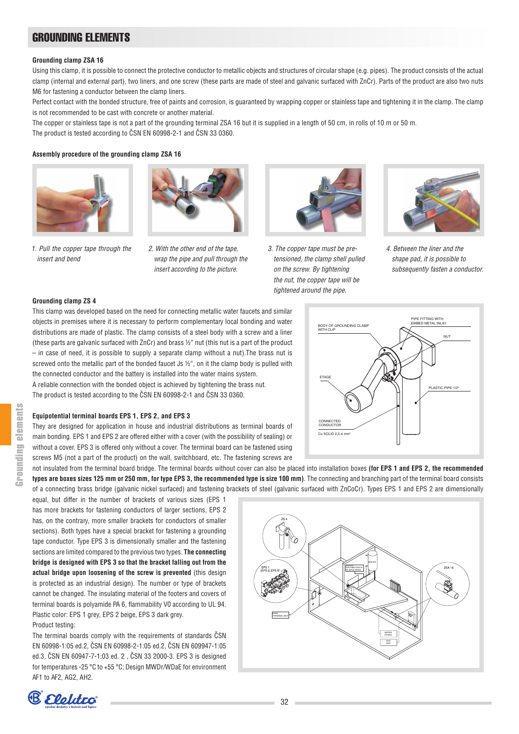## Grounding elements

#### **Grounding clamp ZSA 16**

Using this clamp, it is possible to connect the protective conductor to metallic objects and structures of circular shape (e.g. pipes). The product consists of the actual clamp (internal and external part), two liners, and one screw (these parts are made of steel and galvanic surfaced with ZnCr). Parts of the product are also two nuts M6 for fastening a conductor between the clamp liners.

Perfect contact with the bonded structure, free of paints and corrosion, is quaranteed by wrapping copper or stainless tape and tightening it in the clamp. The clamp is not recommended to be cast with concrete or another material.

The copper or stainless tape is not a part of the grounding terminal ZSA 16 but it is supplied in a length of 50 cm, in rolls of 10 m or 50 m. The product is tested according to ČSN EN 60998-2-1 and ČSN 33 0360.

#### **Assembly procedure of the grounding clamp ZSA 16**





*1. Pull the copper tape through the insert and bend*





*3. The copper tape must be pretensioned, the clamp shell pulled on the screw. By tightening the nut, the copper tape will be tightened around the pipe.*



*4. Between the liner and the shape pad, it is possible to subsequently fasten a conductor.*

#### **Grounding clamp ZS 4**

This clamp was developed based on the need for connecting metallic water faucets and similar objects in premises where it is necessary to perform complementary local bonding and water distributions are made of plastic. The clamp consists of a steel body with a screw and a liner (these parts are galvanic surfaced with ZnCr) and brass ½" nut (this nut is a part of the product – in case of need, it is possible to supply a separate clamp without a nut).The brass nut is screwed onto the metallic part of the bonded faucet Js ½", on it the clamp body is pulled with the connected conductor and the battery is installed into the water mains system.

A reliable connection with the bonded object is achieved by tightening the brass nut. The product is tested according to the ČSN EN 60998-2-1 and ČSN 33 0360.

#### **Equipotential terminal boards EPS 1, EPS 2, and EPS 3**

They are designed for application in house and industrial distributions as terminal boards of main bonding. EPS 1 and EPS 2 are offered either with a cover (with the possibility of sealing) or without a cover. EPS 3 is offered only without a cover. The terminal board can be fastened using screws M5 (not a part of the product) on the wall, switchboard, etc. The fastening screws are



not insulated from the terminal board bridge. The terminal boards without cover can also be placed into installation boxes **(for EPS 1 and EPS 2, the recommended types are boxes sizes 125 mm or 250 mm, for type EPS 3, the recommended type is size 100 mm)**. The connecting and branching part of the terminal board consists of a connecting brass bridge (galvanic nickel surfaced) and fastening brackets of steel (galvanic surfaced with ZnCoCr). Types EPS 1 and EPS 2 are dimensionally

equal, but differ in the number of brackets of various sizes (EPS 1 has more brackets for fastening conductors of larger sections, EPS 2 has, on the contrary, more smaller brackets for conductors of smaller sections). Both types have a special bracket for fastening a grounding tape conductor. Type EPS 3 is dimensionally smaller and the fastening sections are limited compared to the previous two types. **The connecting bridge is designed with EPS 3 so that the bracket falling out from the actual bridge upon loosening of the screw is prevented** (this design is protected as an industrial design). The number or type of brackets cannot be changed. The insulating material of the footers and covers of terminal boards is polyamide PA 6, flammability V0 according to UL 94. Plastic color: EPS 1 grey, EPS 2 beige, EPS 3 dark grey.

#### Product testing:

The terminal boards comply with the requirements of standards ČSN EN 60998-1:05 ed.2, ČSN EN 60998-2-1:05 ed.2, ČSN EN 609947-1:05 ed.3, ČSN EN 60947-7-1:03 ed. 2 , ČSN 33 2000-3. EPS 3 is designed for temperatures -25 °C to +55 °C; Design MWDr/WDaE for environment AF1 to AF2, AG2, AH2.